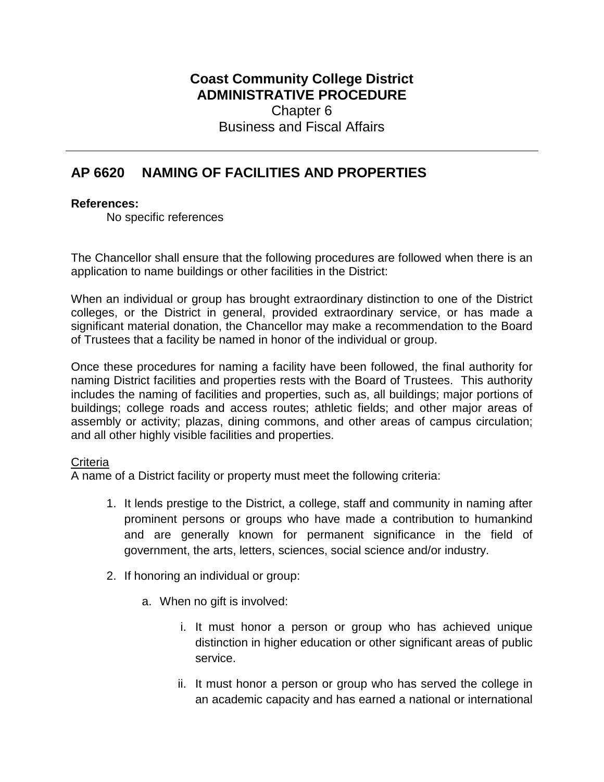## **Coast Community College District ADMINISTRATIVE PROCEDURE** Chapter 6 Business and Fiscal Affairs

# **AP 6620 NAMING OF FACILITIES AND PROPERTIES**

#### **References:**

No specific references

The Chancellor shall ensure that the following procedures are followed when there is an application to name buildings or other facilities in the District:

When an individual or group has brought extraordinary distinction to one of the District colleges, or the District in general, provided extraordinary service, or has made a significant material donation, the Chancellor may make a recommendation to the Board of Trustees that a facility be named in honor of the individual or group.

Once these procedures for naming a facility have been followed, the final authority for naming District facilities and properties rests with the Board of Trustees. This authority includes the naming of facilities and properties, such as, all buildings; major portions of buildings; college roads and access routes; athletic fields; and other major areas of assembly or activity; plazas, dining commons, and other areas of campus circulation; and all other highly visible facilities and properties.

#### **Criteria**

A name of a District facility or property must meet the following criteria:

- 1. It lends prestige to the District, a college, staff and community in naming after prominent persons or groups who have made a contribution to humankind and are generally known for permanent significance in the field of government, the arts, letters, sciences, social science and/or industry.
- 2. If honoring an individual or group:
	- a. When no gift is involved:
		- i. It must honor a person or group who has achieved unique distinction in higher education or other significant areas of public service.
		- ii. It must honor a person or group who has served the college in an academic capacity and has earned a national or international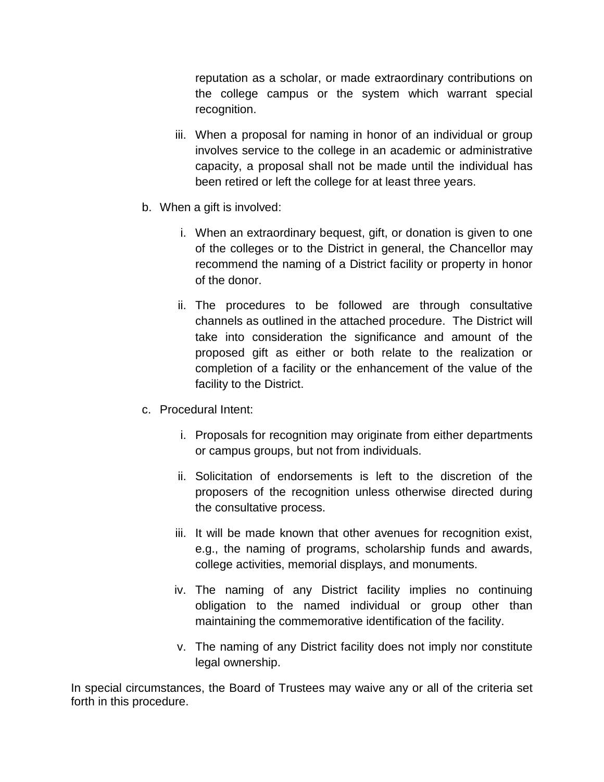reputation as a scholar, or made extraordinary contributions on the college campus or the system which warrant special recognition.

- iii. When a proposal for naming in honor of an individual or group involves service to the college in an academic or administrative capacity, a proposal shall not be made until the individual has been retired or left the college for at least three years.
- b. When a gift is involved:
	- i. When an extraordinary bequest, gift, or donation is given to one of the colleges or to the District in general, the Chancellor may recommend the naming of a District facility or property in honor of the donor.
	- ii. The procedures to be followed are through consultative channels as outlined in the attached procedure. The District will take into consideration the significance and amount of the proposed gift as either or both relate to the realization or completion of a facility or the enhancement of the value of the facility to the District.
- c. Procedural Intent:
	- i. Proposals for recognition may originate from either departments or campus groups, but not from individuals.
	- ii. Solicitation of endorsements is left to the discretion of the proposers of the recognition unless otherwise directed during the consultative process.
	- iii. It will be made known that other avenues for recognition exist, e.g., the naming of programs, scholarship funds and awards, college activities, memorial displays, and monuments.
	- iv. The naming of any District facility implies no continuing obligation to the named individual or group other than maintaining the commemorative identification of the facility.
	- v. The naming of any District facility does not imply nor constitute legal ownership.

In special circumstances, the Board of Trustees may waive any or all of the criteria set forth in this procedure.